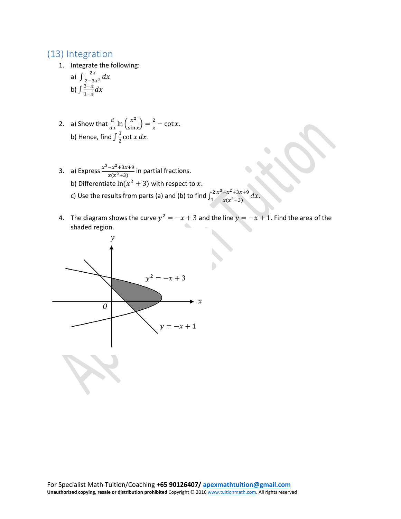## (13) Integration

1. Integrate the following:

a) 
$$
\int \frac{2x}{2-3x^2} dx
$$
  
b) 
$$
\int \frac{3-x}{1-x} dx
$$

- 2. a) Show that  $\frac{d}{dx} \ln \left( \frac{x^2}{\sin x} \right) = \frac{2}{x} \cot x$ . b) Hence, find  $\int_{0}^{1} \cot x \, dx$ .
- 3. a) Express  $\frac{x^3-x^2+3x+9}{x(x^2+3)}$  in partial fractions. b) Differentiate  $ln(x^2 + 3)$  with respect to x. c) Use the results from parts (a) and (b) to find  $\int_1^2 \frac{x^3 - x^2 + 3x + 9}{x(x^2+3)}$  $\int_1^2 \frac{x^3 - x^2 + 3x + 9}{x(x^2 + 3)} dx.$
- 4. The diagram shows the curve  $y^2 = -x + 3$  and the line  $y = -x + 1$ . Find the area of the shaded region.

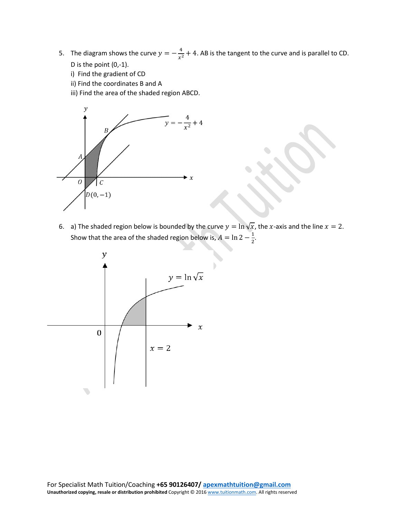- 5. The diagram shows the curve  $y = -\frac{4}{x^2} + 4$ . AB is the tangent to the curve and is parallel to CD. D is the point (0,-1).
	- i) Find the gradient of CD
	- ii) Find the coordinates B and A
	- iii) Find the area of the shaded region ABCD.



6. a) The shaded region below is bounded by the curve  $y = \ln \sqrt{x}$ , the x-axis and the line  $x = 2$ . Show that the area of the shaded region below is,  $A = \ln 2 - \frac{1}{2}$ .